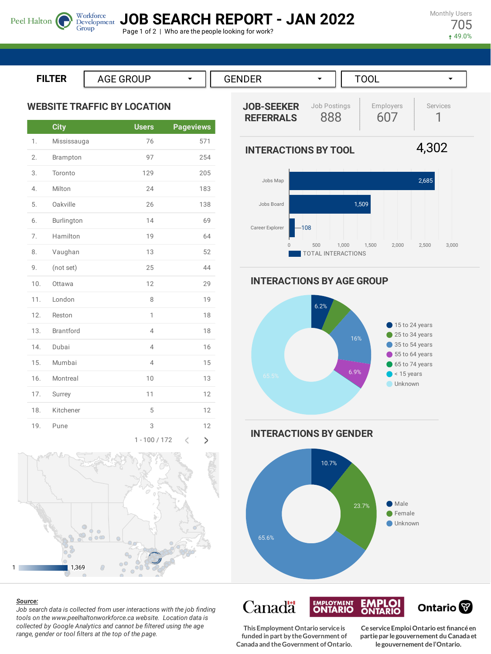**JOB SEARCH REPORT - JAN 2022**

**INTERACTIONS BY TOOL**

Page 1 of 2 | Who are the people looking for work?

Monthly Users 705 49.0%

**ILTER**

Peel Halton

**WEBSITE TRAFFIC BY LOCATION**

Group

|     | <b>City</b>      | <b>Users</b>        | <b>Pageviews</b>     |
|-----|------------------|---------------------|----------------------|
| 1.  | Mississauga      | 76                  | 571                  |
| 2.  | Brampton         | 97                  | 254                  |
| 3.  | Toronto          | 129                 | 205                  |
| 4.  | Milton           | 24                  | 183                  |
| 5.  | Oakville         | 26                  | 138                  |
| 6.  | Burlington       | 14                  | 69                   |
| 7.  | Hamilton         | 19                  | 64                   |
| 8.  | Vaughan          | 13                  | 52                   |
| 9.  | (not set)        | 25                  | 44                   |
| 10. | Ottawa           | 12                  | 29                   |
| 11. | London           | 8                   | 19                   |
| 12. | Reston           | $\mathbf{1}$        | 18                   |
| 13. | <b>Brantford</b> | $\overline{4}$      | 18                   |
| 14. | Dubai            | $\overline{4}$      | 16                   |
| 15. | Mumbai           | $\overline{4}$      | 15                   |
| 16. | Montreal         | 10                  | 13                   |
| 17. | Surrey           | 11                  | 12                   |
| 18. | Kitchener        | 5                   | 12                   |
| 19. | Pune             | 3                   | 12                   |
|     |                  | $1001170$<br>$\sim$ | $\mathbf{h}_i$<br>A. |





#### *Source:*

*Job search data is collected from user interactions with the job finding tools on the www.peelhaltonworkforce.ca website. Location data is collected by Google Analytics and cannot be filtered using the age range, gender or tool filters at the top of the page.*





**INTERACTIONS BY AGE GROUP**



**INTERACTIONS BY GENDER**



**EMPLOI**<br>ONTARIO **EMPLOYMENT** Canadä Ontario<sup>®</sup>

**This Employment Ontario serviceis funded in part by theGovernment of Canada and theGovernment ofOntario.**

**CeserviceEmploiOntario est financéen partiepar legouvernement du Canada et legouvernement del'Ontario.**